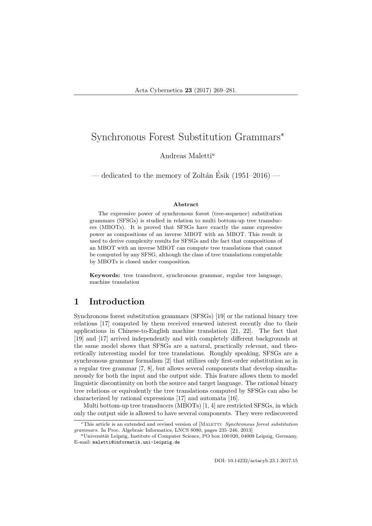Andreas Maletti<sup>a</sup>

— dedicated to the memory of Zoltán Ésik (1951–2016) —

#### Abstract

The expressive power of synchronous forest (tree-sequence) substitution grammars (SFSGs) is studied in relation to multi bottom-up tree transducers (MBOTs). It is proved that SFSGs have exactly the same expressive power as compositions of an inverse MBOT with an MBOT. This result is used to derive complexity results for SFSGs and the fact that compositions of an MBOT with an inverse MBOT can compute tree translations that cannot be computed by any SFSG, although the class of tree translations computable by MBOTs is closed under composition.

Keywords: tree transducer, synchronous grammar, regular tree language, machine translation

## 1 Introduction

Synchronous forest substitution grammars (SFSGs) [19] or the rational binary tree relations [17] computed by them received renewed interest recently due to their applications in Chinese-to-English machine translation [21, 22]. The fact that [19] and [17] arrived independently and with completely different backgrounds at the same model shows that SFSGs are a natural, practically relevant, and theoretically interesting model for tree translations. Roughly speaking, SFSGs are a synchronous grammar formalism [2] that utilizes only first-order substitution as in a regular tree grammar [7, 8], but allows several components that develop simultaneously for both the input and the output side. This feature allows them to model linguistic discontinuity on both the source and target language. The rational binary tree relations or equivalently the tree translations computed by SFSGs can also be characterized by rational expressions [17] and automata [16].

Multi bottom-up tree transducers (MBOTs) [1, 4] are restricted SFSGs, in which only the output side is allowed to have several components. They were rediscovered

DOI: 10.14232/actacyb.23.1.2017.15

<sup>\*</sup>This article is an extended and revised version of [MALETTI: Synchronous forest substitution grammars. In Proc. Algebraic Informatics, LNCS 8080, pages 235–246, 2013]

<sup>&</sup>lt;sup>a</sup>Universität Leipzig, Institute of Computer Science, PO box 100 920, 04009 Leipzig, Germany, E-mail: maletti@informatik.uni-leipzig.de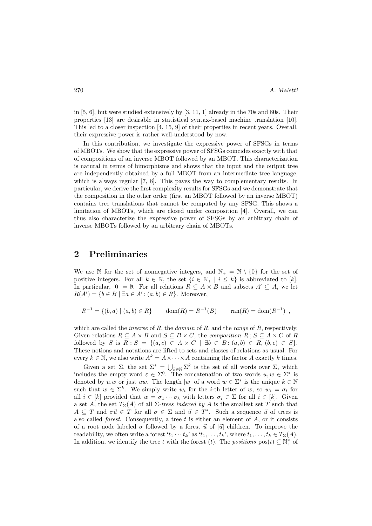in  $[5, 6]$ , but were studied extensively by  $[3, 11, 1]$  already in the 70s and 80s. Their properties [13] are desirable in statistical syntax-based machine translation [10]. This led to a closer inspection [4, 15, 9] of their properties in recent years. Overall, their expressive power is rather well-understood by now.

In this contribution, we investigate the expressive power of SFSGs in terms of MBOTs. We show that the expressive power of SFSGs coincides exactly with that of compositions of an inverse MBOT followed by an MBOT. This characterization is natural in terms of bimorphisms and shows that the input and the output tree are independently obtained by a full MBOT from an intermediate tree language, which is always regular [7, 8]. This paves the way to complementary results. In particular, we derive the first complexity results for SFSGs and we demonstrate that the composition in the other order (first an MBOT followed by an inverse MBOT) contains tree translations that cannot be computed by any SFSG. This shows a limitation of MBOTs, which are closed under composition [4]. Overall, we can thus also characterize the expressive power of SFSGs by an arbitrary chain of inverse MBOTs followed by an arbitrary chain of MBOTs.

#### 2 Preliminaries

We use N for the set of nonnegative integers, and  $\mathbb{N}_+ = \mathbb{N} \setminus \{0\}$  for the set of positive integers. For all  $k \in \mathbb{N}$ , the set  $\{i \in \mathbb{N}_+ | i \leq k\}$  is abbreviated to [k]. In particular,  $[0] = \emptyset$ . For all relations  $R \subseteq A \times B$  and subsets  $A' \subseteq A$ , we let  $R(A') = \{b \in B \mid \exists a \in A' : (a, b) \in R\}.$  Moreover,

$$
R^{-1} = \{(b, a) \mid (a, b) \in R\} \qquad \text{dom}(R) = R^{-1}(B) \qquad \text{ran}(R) = \text{dom}(R^{-1}) \text{ ,}
$$

which are called the *inverse* of  $R$ , the *domain* of  $R$ , and the *range* of  $R$ , respectively. Given relations  $R \subseteq A \times B$  and  $S \subseteq B \times C$ , the *composition*  $R$ ;  $S \subseteq A \times C$  of R followed by S is  $R$ ;  $S = \{(a, c) \in A \times C \mid \exists b \in B : (a, b) \in R, (b, c) \in S\}.$ These notions and notations are lifted to sets and classes of relations as usual. For every  $k \in \mathbb{N}$ , we also write  $A^k = A \times \cdots \times A$  containing the factor A exactly k times.

Given a set  $\Sigma$ , the set  $\Sigma^* = \bigcup_{k \in \mathbb{N}} \Sigma^k$  is the set of all words over  $\Sigma$ , which includes the empty word  $\varepsilon \in \Sigma^0$ . The concatenation of two words  $u, w \in \Sigma^*$  is denoted by u.w or just uw. The length |w| of a word  $w \in \Sigma^*$  is the unique  $k \in \mathbb{N}$ such that  $w \in \Sigma^k$ . We simply write  $w_i$  for the *i*-th letter of  $w$ , so  $w_i = \sigma_i$  for all  $i \in [k]$  provided that  $w = \sigma_1 \cdots \sigma_k$  with letters  $\sigma_i \in \Sigma$  for all  $i \in [k]$ . Given a set A, the set  $T_{\Sigma}(A)$  of all  $\Sigma$ -trees indexed by A is the smallest set T such that  $A \subseteq T$  and  $\sigma \vec{u} \in T$  for all  $\sigma \in \Sigma$  and  $\vec{u} \in T^*$ . Such a sequence  $\vec{u}$  of trees is also called *forest*. Consequently, a tree  $t$  is either an element of  $A$ , or it consists of a root node labeled  $\sigma$  followed by a forest  $\vec{u}$  of  $|\vec{u}|$  children. To improve the readability, we often write a forest ' $t_1 \cdots t_k$ ' as ' $t_1, \ldots, t_k$ ', where  $t_1, \ldots, t_k \in T_{\Sigma}(A)$ . In addition, we identify the tree t with the forest (t). The positions  $pos(t) \subseteq N^*$  of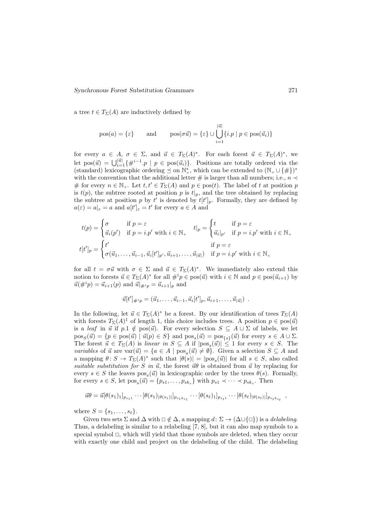a tree  $t \in T_{\Sigma}(A)$  are inductively defined by

$$
pos(a) = \{\varepsilon\}
$$
 and  $pos(\sigma \vec{u}) = \{\varepsilon\} \cup \bigcup_{i=1}^{|\vec{u}|} \{i \cdot p \mid p \in pos(\vec{u_i})\}$ 

for every  $a \in A$ ,  $\sigma \in \Sigma$ , and  $\vec{u} \in T_{\Sigma}(A)^*$ . For each forest  $\vec{u} \in T_{\Sigma}(A)^*$ , we let  $pos(\vec{u}) = \bigcup_{i=1}^{|\vec{u}|} {\{\#^{i-1}.p \mid p \in pos(\vec{u}_i)\}}$ . Positions are totally ordered via the (standard) lexicographic ordering  $\preceq$  on  $\mathbb{N}^*_+$ , which can be extended to  $(\mathbb{N}_+ \cup \{\#\})^*$ with the convention that the additional letter # is larger than all numbers; i.e.,  $n \prec$ # for every  $n \in \mathbb{N}_+$ . Let  $t, t' \in T_{\Sigma}(A)$  and  $p \in \text{pos}(t)$ . The label of t at position p is  $t(p)$ , the subtree rooted at position p is  $t|_p$ , and the tree obtained by replacing the subtree at position p by t' is denoted by  $t[t']_p$ . Formally, they are defined by  $a(\varepsilon) = a|_{\varepsilon} = a$  and  $a[t']_{\varepsilon} = t'$  for every  $a \in A$  and

$$
t(p) = \begin{cases} \sigma & \text{if } p = \varepsilon \\ \vec{u}_i(p') & \text{if } p = i.p' \text{ with } i \in \mathbb{N}_+ \end{cases} \quad t|_p = \begin{cases} t & \text{if } p = \varepsilon \\ \vec{u}_i|_{p'} & \text{if } p = i.p' \text{ with } i \in \mathbb{N}_+ \end{cases}
$$

$$
t[t']_p = \begin{cases} t' & \text{if } p = \varepsilon \\ \sigma(\vec{u}_1, \dots, \vec{u}_{i-1}, \vec{u}_i[t']_{p'}, \vec{u}_{i+1}, \dots, \vec{u}_{|\vec{u}|}) & \text{if } p = i.p' \text{ with } i \in \mathbb{N}_+ \end{cases}
$$

for all  $t = \sigma \vec{u}$  with  $\sigma \in \Sigma$  and  $\vec{u} \in T_{\Sigma}(A)^*$ . We immediately also extend this notion to forests  $\vec{u} \in T_{\Sigma}(A)^*$  for all  $\#^i p \in \text{pos}(\vec{u})$  with  $i \in \mathbb{N}$  and  $p \in \text{pos}(\vec{u}_{i+1})$  by  $\vec{u}(\#^i p) = \vec{u}_{i+1}(p)$  and  $\vec{u}|_{\#^i p} = \vec{u}_{i+1}|_p$  and

$$
\vec{u}[t']_{\#^i p} = (\vec{u}_1, \dots, \vec{u}_{i-1}, \vec{u}_i[t']_p, \vec{u}_{i+1}, \dots, \vec{u}_{|\vec{u}|}) \ .
$$

In the following, let  $\vec{u} \in T_{\Sigma}(A)^*$  be a forest. By our identification of trees  $T_{\Sigma}(A)$ with forests  $T_{\Sigma}(A)^{1}$  of length 1, this choice includes trees. A position  $p \in \text{pos}(\vec{u})$ is a leaf in  $\vec{u}$  if  $p.1 \notin pos(\vec{u})$ . For every selection  $S \subseteq A \cup \Sigma$  of labels, we let  $pos_S(\vec{u}) = \{p \in pos(\vec{u}) \mid \vec{u}(p) \in S\}$  and  $pos_s(\vec{u}) = pos_{\{s\}}(\vec{u})$  for every  $s \in A \cup \Sigma$ . The forest  $\vec{u} \in T_{\Sigma}(A)$  is linear in  $S \subseteq A$  if  $|pos_s(\vec{u})| \leq 1$  for every  $s \in S$ . The *variables* of  $\vec{u}$  are  $var(\vec{u}) = \{a \in A \mid pos_a(\vec{u}) \neq \emptyset\}$ . Given a selection  $S \subseteq A$  and a mapping  $\theta: S \to T_{\Sigma}(A)^*$  such that  $|\theta(s)| = |pos_s(\vec{u})|$  for all  $s \in S$ , also called suitable substitution for S in  $\vec{u}$ , the forest  $\vec{u}\theta$  is obtained from  $\vec{u}$  by replacing for every  $s \in S$  the leaves  $pos_s(\vec{u})$  in lexicographic order by the trees  $\theta(s)$ . Formally, for every  $s \in S$ , let  $pos_s(\vec{u}) = \{p_{s1}, \ldots, p_{sk_s}\}\$  with  $p_{s1} \prec \cdots \prec p_{sk_s}$ . Then

$$
\vec{u}\theta = \vec{u}[\theta(s_1)_{1}]_{p_{s_1 1}} \cdots [\theta(s_1)_{|\theta(s_1)|}]_{p_{s_1 k_{s_1}}} \cdots [\theta(s_\ell)_{1}]_{p_{s_\ell 1}} \cdots [\theta(s_\ell)_{|\theta(s_\ell)|}]_{p_{s_\ell k_{s_\ell}}},
$$

where  $S = \{s_1, \ldots, s_\ell\}.$ 

Given two sets  $\Sigma$  and  $\Delta$  with  $\Box \notin \Delta$ , a mapping  $d: \Sigma \to (\Delta \cup {\Box})$  is a *delabeling*. Thus, a delabeling is similar to a relabeling [7, 8], but it can also map symbols to a special symbol  $\Box$ , which will yield that those symbols are deleted, when they occur with exactly one child and project on the delabeling of the child. The delabeling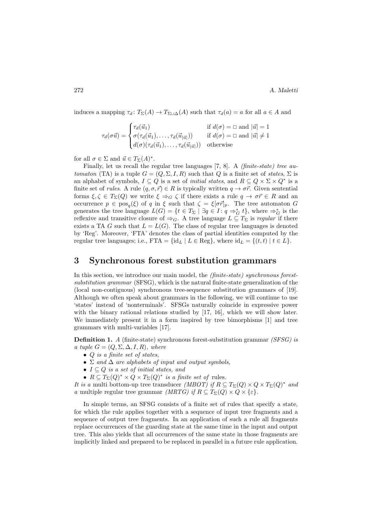induces a mapping  $\tau_d \colon T_\Sigma(A) \to T_{\Sigma \cup \Delta}(A)$  such that  $\tau_d(a) = a$  for all  $a \in A$  and

$$
\tau_d(\sigma \vec{u}) = \begin{cases}\n\tau_d(\vec{u}_1) & \text{if } d(\sigma) = \square \text{ and } |\vec{u}| = 1 \\
\sigma(\tau_d(\vec{u}_1), \dots, \tau_d(\vec{u}_{|\vec{u}|})) & \text{if } d(\sigma) = \square \text{ and } |\vec{u}| \neq 1 \\
d(\sigma)(\tau_d(\vec{u}_1), \dots, \tau_d(\vec{u}_{|\vec{u}|})) & \text{otherwise}\n\end{cases}
$$

for all  $\sigma \in \Sigma$  and  $\vec{u} \in T_{\Sigma}(A)^*$ .

Finally, let us recall the regular tree languages  $[7, 8]$ . A *(finite-state) tree au*tomaton (TA) is a tuple  $G = (Q, \Sigma, I, R)$  such that Q is a finite set of states,  $\Sigma$  is an alphabet of symbols,  $I \subseteq Q$  is a set of *initial states*, and  $R \subseteq Q \times \Sigma \times Q^*$  is a finite set of *rules*. A rule  $(q, \sigma, \vec{r}) \in R$  is typically written  $q \to \sigma \vec{r}$ . Given sentential forms  $\xi, \zeta \in T_{\Sigma}(Q)$  we write  $\xi \Rightarrow_G \zeta$  if there exists a rule  $q \to \sigma \vec{r} \in R$  and an occurrence  $p \in \text{pos}_q(\xi)$  of q in  $\xi$  such that  $\zeta = \xi[\sigma \vec{r}]_p$ . The tree automaton G generates the tree language  $L(G) = \{t \in T_{\Sigma} \mid \exists q \in I : q \Rightarrow_G^* t\}$ , where  $\Rightarrow_G^*$  is the reflexive and transitive closure of  $\Rightarrow_G$ . A tree language  $L \subseteq T_{\Sigma}$  is regular if there exists a TA G such that  $L = L(G)$ . The class of regular tree languages is denoted by 'Reg'. Moreover, 'FTA' denotes the class of partial identities computed by the regular tree languages; i.e., FTA = {id<sub>L</sub> | L ∈ Reg}, where id<sub>L</sub> = { $(t, t)$  |  $t \in L$ }.

#### 3 Synchronous forest substitution grammars

In this section, we introduce our main model, the (finite-state) synchronous forestsubstitution grammar (SFSG), which is the natural finite-state generalization of the (local non-contiguous) synchronous tree-sequence substitution grammars of [19]. Although we often speak about grammars in the following, we will continue to use 'states' instead of 'nonterminals'. SFSGs naturally coincide in expressive power with the binary rational relations studied by [17, 16], which we will show later. We immediately present it in a form inspired by tree bimorphisms [1] and tree grammars with multi-variables [17].

Definition 1. A (finite-state) synchronous forest-substitution grammar (SFSG) is a tuple  $G = (Q, \Sigma, \Delta, I, R)$ , where

- $Q$  is a finite set of states,
- $\Sigma$  and  $\Delta$  are alphabets of input and output symbols,
- $I \subseteq Q$  is a set of initial states, and
- $R \subseteq T_{\Sigma}(Q)^{*} \times Q \times T_{\Sigma}(Q)^{*}$  is a finite set of rules.

It is a multi bottom-up tree transducer (MBOT) if  $R \subseteq T_{\Sigma}(Q) \times Q \times T_{\Sigma}(Q)^{*}$  and a multiple regular tree grammar (MRTG) if  $R \subseteq T_{\Sigma}(Q) \times Q \times {\varepsilon}.$ 

In simple terms, an SFSG consists of a finite set of rules that specify a state, for which the rule applies together with a sequence of input tree fragments and a sequence of output tree fragments. In an application of such a rule all fragments replace occurrences of the guarding state at the same time in the input and output tree. This also yields that all occurrences of the same state in those fragments are implicitly linked and prepared to be replaced in parallel in a future rule application.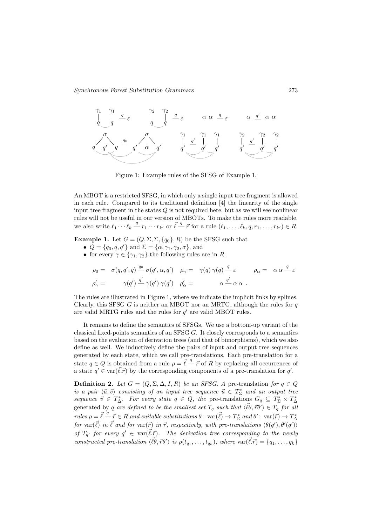

Figure 1: Example rules of the SFSG of Example 1.

An MBOT is a restricted SFSG, in which only a single input tree fragment is allowed in each rule. Compared to its traditional definition [4] the linearity of the single input tree fragment in the states  $Q$  is not required here, but as we will see nonlinear rules will not be useful in our version of MBOTs. To make the rules more readable, we also write  $\ell_1 \cdots \ell_k \stackrel{q}{\rightharpoonup} r_1 \cdots r_{k'}$  or  $\vec{\ell} \stackrel{q}{\rightharpoonup} \vec{r}$  for a rule  $(\ell_1, \ldots, \ell_k, q, r_1, \ldots, r_{k'}) \in R$ .

**Example 1.** Let  $G = (Q, \Sigma, \Sigma, \{q_0\}, R)$  be the SFSG such that

- $Q = \{q_0, q, q'\}$  and  $\Sigma = \{\alpha, \gamma_1, \gamma_2, \sigma\}$ , and
- for every  $\gamma \in \{\gamma_1, \gamma_2\}$  the following rules are in R:

$$
\rho_0 = \sigma(q, q', q) \stackrel{q_0}{\longrightarrow} \sigma(q', \alpha, q') \quad \rho_\gamma = \gamma(q) \gamma(q) \stackrel{q}{\longrightarrow} \varepsilon \qquad \rho_\alpha = \alpha \alpha \stackrel{q}{\longrightarrow} \varepsilon
$$
  

$$
\rho'_\gamma = \qquad \gamma(q') \stackrel{q'}{\longrightarrow} \gamma(q') \gamma(q') \quad \rho'_\alpha = \qquad \alpha \stackrel{q'}{\longrightarrow} \alpha \alpha \ .
$$

The rules are illustrated in Figure 1, where we indicate the implicit links by splines. Clearly, this SFSG G is neither an MBOT nor an MRTG, although the rules for  $q$ are valid MRTG rules and the rules for  $q'$  are valid MBOT rules.

It remains to define the semantics of SFSGs. We use a bottom-up variant of the classical fixed-points semantics of an SFSG  $G$ . It closely corresponds to a semantics based on the evaluation of derivation trees (and that of bimorphisms), which we also define as well. We inductively define the pairs of input and output tree sequences generated by each state, which we call pre-translations. Each pre-translation for a state  $q \in Q$  is obtained from a rule  $\rho = \vec{\ell} - \vec{r}$  of R by replacing all occurrences of a state  $q' \in \text{var}(\vec{\ell} \cdot \vec{r})$  by the corresponding components of a pre-translation for  $q'$ .

**Definition 2.** Let  $G = (Q, \Sigma, \Delta, I, R)$  be an SFSG. A pre-translation for  $q \in Q$ is a pair  $\langle \vec{u}, \vec{v} \rangle$  consisting of an input tree sequence  $\vec{u} \in T_{\Sigma}^{*}$  and an output tree sequence  $\vec{v} \in T^*_{\Delta}$ . For every state  $q \in Q$ , the pre-translations  $G_q \subseteq T^*_{\Sigma} \times T^*_{\Delta}$ generated by q are defined to be the smallest set  $T_q$  such that  $\langle \vec{\ell} \theta, \vec{r} \theta' \rangle \in T_q$  for all  $rules \rho = \vec{\ell} \stackrel{q}{\rightharpoonup} \vec{r} \in R$  and suitable substitutions  $\theta \colon var(\vec{\ell}) \to T_{\Sigma}^*$  and  $\theta' \colon var(\vec{r}) \to T_{\Delta}^*$ for var $(\vec{\ell})$  in  $\vec{\ell}$  and for var $(\vec{r})$  in  $\vec{r}$ , respectively, with pre-translations  $\langle \theta(q'), \theta'(q') \rangle$ of  $T_{q'}$  for every  $q' \in \text{var}(\vec{\ell} \cdot \vec{r})$ . The derivation tree corresponding to the newly constructed pre-translation  $\langle \vec{\ell}, \vec{r}\theta' \rangle$  is  $\rho(t_{q_1}, \ldots, t_{q_k})$ , where  $\text{var}(\vec{\ell} \cdot \vec{r}) = \{q_1, \ldots, q_k\}$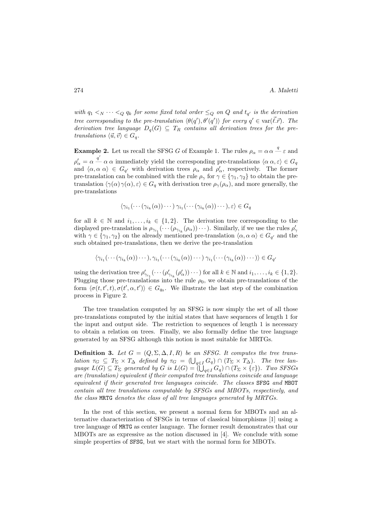with  $q_1 <_{N} \cdots <_{Q} q_k$  for some fixed total order  $\leq_{Q}$  on  $Q$  and  $t_{q'}$  is the derivation tree corresponding to the pre-translation  $\langle \theta(q'), \theta'(q') \rangle$  for every  $q' \in \text{var}(\vec{\ell} \cdot \vec{r})$ . The derivation tree language  $D_q(G) \subseteq T_R$  contains all derivation trees for the pretranslations  $\langle \vec{u}, \vec{v} \rangle \in G_q$ .

**Example 2.** Let us recall the SFSG G of Example 1. The rules  $\rho_{\alpha} = \alpha \alpha \stackrel{q}{-} \varepsilon$  and  $\rho'_\alpha = \alpha \stackrel{q'}{\longrightarrow} \alpha \alpha$  immediately yield the corresponding pre-translations  $\langle \alpha \alpha, \varepsilon \rangle \in G_q$ and  $\langle \alpha, \alpha \alpha \rangle \in G_{q'}$  with derivation trees  $\rho_\alpha$  and  $\rho'_\alpha$ , respectively. The former pre-translation can be combined with the rule  $\rho_{\gamma}$  for  $\gamma \in {\gamma_1, \gamma_2}$  to obtain the pretranslation  $\langle \gamma(\alpha)\gamma(\alpha), \varepsilon\rangle \in G_q$  with derivation tree  $\rho_\gamma(\rho_\alpha)$ , and more generally, the pre-translations

$$
\langle \gamma_{i_1}(\cdots(\gamma_{i_k}(\alpha))\cdots)\gamma_{i_1}(\cdots(\gamma_{i_k}(\alpha))\cdots), \varepsilon\rangle \in G_q
$$

for all  $k \in \mathbb{N}$  and  $i_1, \ldots, i_k \in \{1, 2\}$ . The derivation tree corresponding to the displayed pre-translation is  $\rho_{\gamma_{i_1}}(\cdots(\rho_{\gamma_{i_k}}(\rho_\alpha))\cdots)$ . Similarly, if we use the rules  $\rho'_\gamma$ with  $\gamma \in \{\gamma_1, \gamma_2\}$  on the already mentioned pre-translation  $\langle \alpha, \alpha \alpha \rangle \in G_{q'}$  and the such obtained pre-translations, then we derive the pre-translation

 $\langle \gamma_{i_1}(\cdots(\gamma_{i_k}(\alpha))\cdots), \gamma_{i_1}(\cdots(\gamma_{i_k}(\alpha))\cdots) \gamma_{i_1}(\cdots(\gamma_{i_k}(\alpha))\cdots) \rangle \in G_{q'}$ 

using the derivation tree  $\rho'_{\gamma_{i_1}}(\cdots(\rho'_{\gamma_{i_k}}(\rho'_{\alpha}))\cdots)$  for all  $k \in \mathbb{N}$  and  $i_1, \ldots, i_k \in \{1, 2\}$ . Plugging those pre-translations into the rule  $\rho_0$ , we obtain pre-translations of the form  $\langle \sigma(t, t', t), \sigma(t', \alpha, t') \rangle \in G_{q_0}$ . We illustrate the last step of the combination process in Figure 2.

The tree translation computed by an SFSG is now simply the set of all those pre-translations computed by the initial states that have sequences of length 1 for the input and output side. The restriction to sequences of length 1 is necessary to obtain a relation on trees. Finally, we also formally define the tree language generated by an SFSG although this notion is most suitable for MRTGs.

**Definition 3.** Let  $G = (Q, \Sigma, \Delta, I, R)$  be an SFSG. It computes the tree translation  $\tau_G \subseteq T_\Sigma \times T_\Delta$  defined by  $\tau_G = (\bigcup_{q \in I} G_q) \cap (T_\Sigma \times T_\Delta)$ . The tree language  $L(G) \subseteq T_{\Sigma}$  generated by G is  $L(G) = \{ \bigcup_{q \in I} G_q \} \cap (T_{\Sigma} \times {\varepsilon})\}$ . Two SFSGs are (translation) equivalent if their computed tree translations coincide and language equivalent if their generated tree languages coincide. The classes SFSG and MBOT contain all tree translations computable by SFSGs and MBOTs, respectively, and the class MRTG denotes the class of all tree languages generated by MRTGs.

In the rest of this section, we present a normal form for MBOTs and an alternative characterization of SFSGs in terms of classical bimorphisms [1] using a tree language of MRTG as center language. The former result demonstrates that our MBOTs are as expressive as the notion discussed in [4]. We conclude with some simple properties of SFSG, but we start with the normal form for MBOTs.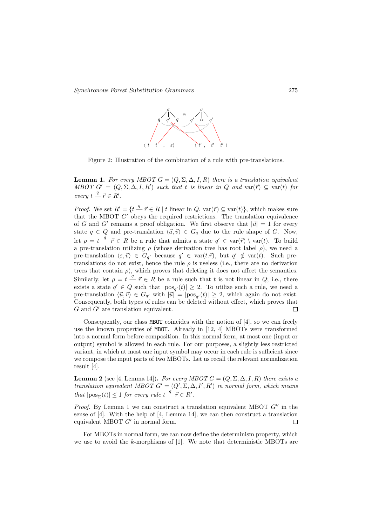

Figure 2: Illustration of the combination of a rule with pre-translations.

**Lemma 1.** For every MBOT  $G = (Q, \Sigma, \Delta, I, R)$  there is a translation equivalent MBOT  $G' = (Q, \Sigma, \Delta, I, R')$  such that t is linear in Q and var $(\vec{r}) \subseteq \text{var}(t)$  for  $every~t~\frac{q}{r}~\vec{r} \in R'.$ 

*Proof.* We set  $R' = \{t \stackrel{q}{\longrightarrow} \vec{r} \in R \mid t \text{ linear in } Q, \text{var}(\vec{r}) \subseteq \text{var}(t)\}\)$ , which makes sure that the MBOT  $G'$  obeys the required restrictions. The translation equivalence of G and G' remains a proof obligation. We first observe that  $|\vec{u}| = 1$  for every state  $q \in Q$  and pre-translation  $\langle \vec{u}, \vec{v} \rangle \in G_q$  due to the rule shape of G. Now, let  $\rho = t - \vec{r} \in R$  be a rule that admits a state  $q' \in \text{var}(\vec{r}) \setminus \text{var}(t)$ . To build a pre-translation utilizing  $\rho$  (whose derivation tree has root label  $\rho$ ), we need a pre-translation  $\langle \varepsilon, \vec{v} \rangle \in G_{q'}$  because  $q' \in \text{var}(t, \vec{r})$ , but  $q' \notin \text{var}(t)$ . Such pretranslations do not exist, hence the rule  $\rho$  is useless (i.e., there are no derivation trees that contain  $\rho$ ), which proves that deleting it does not affect the semantics. Similarly, let  $\rho = t \frac{q}{r} \vec{r} \in R$  be a rule such that t is not linear in  $Q$ ; i.e., there exists a state  $q' \in Q$  such that  $|pos_{q'}(t)| \geq 2$ . To utilize such a rule, we need a pre-translation  $\langle \vec{u}, \vec{v} \rangle \in G_{q'}$  with  $|\vec{u}| = |pos_{q'}(t)| \geq 2$ , which again do not exist. Consequently, both types of rules can be deleted without effect, which proves that  $G$  and  $G'$  are translation equivalent.  $\Box$ 

Consequently, our class MBOT coincides with the notion of [4], so we can freely use the known properties of MBOT. Already in  $[12, 4]$  MBOTs were transformed into a normal form before composition. In this normal form, at most one (input or output) symbol is allowed in each rule. For our purposes, a slightly less restricted variant, in which at most one input symbol may occur in each rule is sufficient since we compose the input parts of two MBOTs. Let us recall the relevant normalization result [4].

**Lemma 2** (see [4, Lemma 14]). For every MBOT  $G = (Q, \Sigma, \Delta, I, R)$  there exists a translation equivalent MBOT  $G' = (Q', \Sigma, \Delta, I', R')$  in normal form, which means that  $|pos_{\Sigma}(t)| \leq 1$  for every rule  $t \stackrel{q}{\rightharpoondown} \vec{r} \in R'.$ 

*Proof.* By Lemma 1 we can construct a translation equivalent MBOT  $G''$  in the sense of [4]. With the help of [4, Lemma 14], we can then construct a translation equivalent MBOT  $G'$  in normal form.  $\Box$ 

For MBOTs in normal form, we can now define the determinism property, which we use to avoid the  $k$ -morphisms of [1]. We note that deterministic MBOTs are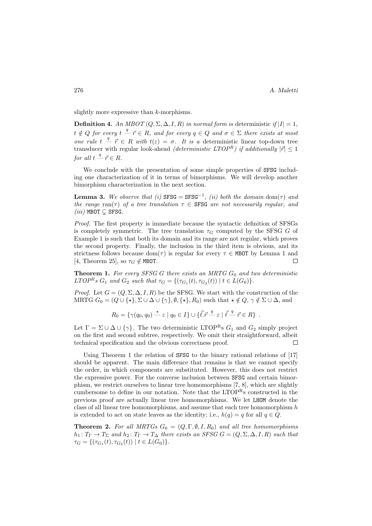slightly more expressive than  $k$ -morphisms.

Definition 4. An MBOT  $(Q, \Sigma, \Delta, I, R)$  in normal form is deterministic if  $|I| = 1$ ,  $t \notin Q$  for every  $t - \vec{r} \in R$ , and for every  $q \in Q$  and  $\sigma \in \Sigma$  there exists at most one rule  $t - \overrightarrow{r} \in R$  with  $t(\varepsilon) = \sigma$ . It is a deterministic linear top-down tree transducer with regular look-ahead *(deterministic LTOPR)* if additionally  $|\vec{r}| \leq 1$ for all  $t - \vec{r} \in R$ .

We conclude with the presentation of some simple properties of SFSG including one characterization of it in terms of bimorphisms. We will develop another bimorphism characterization in the next section.

**Lemma 3.** We observe that (i)  $SFSG = SFSG^{-1}$ , (ii) both the domain dom( $\tau$ ) and the range ran(τ) of a tree translation  $\tau \in SFSG$  are not necessarily regular, and  $(iii)$  MBOT  $\subseteq$  SFSG.

Proof. The first property is immediate because the syntactic definition of SFSGs is completely symmetric. The tree translation  $\tau_G$  computed by the SFSG G of Example 1 is such that both its domain and its range are not regular, which proves the second property. Finally, the inclusion in the third item is obvious, and its strictness follows because  $dom(\tau)$  is regular for every  $\tau \in M$ BOT by Lemma 1 and [4, Theorem 25], so  $\tau_G \notin M$ BOT.  $\Box$ 

**Theorem 1.** For every SFSG G there exists an MRTG  $G_0$  and two deterministic LTOP<sup>R</sup>s  $G_1$  and  $G_2$  such that  $\tau_G = \{(\tau_{G_1}(t), \tau_{G_2}(t)) \mid t \in L(G_0)\}.$ 

*Proof.* Let  $G = (Q, \Sigma, \Delta, I, R)$  be the SFSG. We start with the construction of the MRTG  $G_0 = (Q \cup \{ \star \}, \Sigma \cup \Delta \cup \{ \gamma \}, \emptyset, \{ \star \}, R_0)$  such that  $\star \notin Q$ ,  $\gamma \notin \Sigma \cup \Delta$ , and

$$
R_0 = \{ \gamma(q_0, q_0) \stackrel{\star}{\mathcal{I}} \varepsilon \mid q_0 \in I \} \cup \{ \vec{\ell} \cdot \vec{r} \stackrel{q}{\mathcal{I}} \varepsilon \mid \vec{\ell} \stackrel{q}{\mathcal{I}} \vec{r} \in R \} .
$$

Let  $\Gamma = \Sigma \cup \Delta \cup \{\gamma\}$ . The two deterministic LTOP<sup>R</sup>s  $G_1$  and  $G_2$  simply project on the first and second subtree, respectively. We omit their straightforward, albeit technical specification and the obvious correctness proof.  $\Box$ 

Using Theorem 1 the relation of SFSG to the binary rational relations of [17] should be apparent. The main difference that remains is that we cannot specify the order, in which components are substituted. However, this does not restrict the expressive power. For the converse inclusion between SFSG and certain bimorphism, we restrict ourselves to linear tree homomorphisms [7, 8], which are slightly cumbersome to define in our notation. Note that the LTOP<sup>R</sup>s constructed in the previous proof are actually linear tree homomorphisms. We let LHOM denote the class of all linear tree homomorphisms, and assume that each tree homomorphism h is extended to act on state leaves as the identity; i.e.,  $h(q) = q$  for all  $q \in Q$ .

**Theorem 2.** For all MRTGs  $G_0 = (Q, \Gamma, \emptyset, I, R_0)$  and all tree homomorphisms  $h_1: T_{\Gamma} \to T_{\Sigma}$  and  $h_2: T_{\Gamma} \to T_{\Delta}$  there exists an SFSG  $G = (Q, \Sigma, \Delta, I, R)$  such that  $\tau_G = \{(\tau_{G_1}(t), \tau_{G_2}(t)) \mid t \in L(G_0)\}.$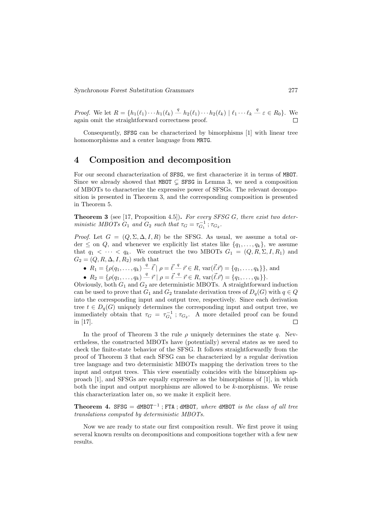*Proof.* We let  $R = \{h_1(\ell_1) \cdots h_1(\ell_k) \stackrel{q}{\smile} h_2(\ell_1) \cdots h_2(\ell_k) \mid \ell_1 \cdots \ell_k \stackrel{q}{\smile} \varepsilon \in R_0\}$ . We again omit the straightforward correctness proof. Г

Consequently, SFSG can be characterized by bimorphisms [1] with linear tree homomorphisms and a center language from MRTG.

### 4 Composition and decomposition

For our second characterization of SFSG, we first characterize it in terms of MBOT. Since we already showed that MBOT  $\subset$  SFSG in Lemma 3, we need a composition of MBOTs to characterize the expressive power of SFSGs. The relevant decomposition is presented in Theorem 3, and the corresponding composition is presented in Theorem 5.

**Theorem 3** (see [17, Proposition 4.5]). For every SFSG G, there exist two deterministic MBOTs  $G_1$  and  $G_2$  such that  $\tau_G = \tau_{G_1}^{-1}$ ;  $\tau_{G_2}$ .

*Proof.* Let  $G = (Q, \Sigma, \Delta, I, R)$  be the SFSG. As usual, we assume a total order  $\leq$  on  $Q$ , and whenever we explicitly list states like  $\{q_1, \ldots, q_k\}$ , we assume that  $q_1 < \cdots < q_k$ . We construct the two MBOTs  $G_1 = (Q, R, \Sigma, I, R_1)$  and  $G_2 = (Q, R, \Delta, I, R_2)$  such that

- $R_1 = \{ \rho(q_1, \ldots, q_k) \stackrel{q}{\sim} \vec{\ell} \mid \rho = \vec{\ell} \stackrel{q}{\sim} \vec{r} \in R, \, \text{var}(\vec{\ell} \cdot \vec{r}) = \{q_1, \ldots, q_k\} \}, \text{and}$
- $R_2 = \{ \rho(q_1, \ldots, q_k) \stackrel{q}{\longrightarrow} \vec{r} \mid \rho = \vec{\ell} \stackrel{q}{\longrightarrow} \vec{r} \in R, \text{ var}(\vec{\ell} \cdot \vec{r}) = \{q_1, \ldots, q_k\} \}.$

Obviously, both  $G_1$  and  $G_2$  are deterministic MBOTs. A straightforward induction can be used to prove that  $G_1$  and  $G_2$  translate derivation trees of  $D_q(G)$  with  $q \in Q$ into the corresponding input and output tree, respectively. Since each derivation tree  $t \in D_q(G)$  uniquely determines the corresponding input and output tree, we immediately obtain that  $\tau_G = \tau_{G_1}^{-1}$ ;  $\tau_{G_2}$ . A more detailed proof can be found in [17].  $\Box$ 

In the proof of Theorem 3 the rule  $\rho$  uniquely determines the state q. Nevertheless, the constructed MBOTs have (potentially) several states as we need to check the finite-state behavior of the SFSG. It follows straightforwardly from the proof of Theorem 3 that each SFSG can be characterized by a regular derivation tree language and two deterministic MBOTs mapping the derivation trees to the input and output trees. This view essentially coincides with the bimorphism approach [1], and SFSGs are equally expressive as the bimorphisms of [1], in which both the input and output morphisms are allowed to be  $k$ -morphisms. We reuse this characterization later on, so we make it explicit here.

Theorem 4. SFSG =  $dM$ BOT<sup>-1</sup>; FTA;  $dM$ BOT, where  $dM$ BOT is the class of all tree translations computed by deterministic MBOTs.

Now we are ready to state our first composition result. We first prove it using several known results on decompositions and compositions together with a few new results.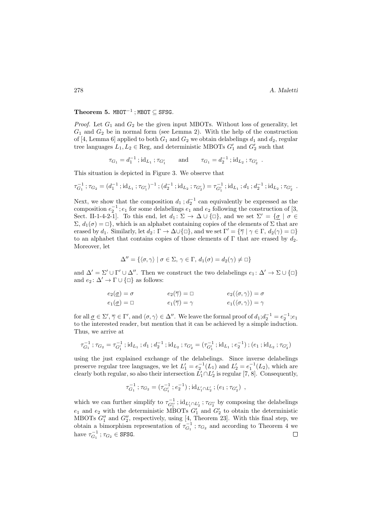#### Theorem 5. MBOT<sup>-1</sup>; MBOT  $\subseteq$  SFSG.

*Proof.* Let  $G_1$  and  $G_2$  be the given input MBOTs. Without loss of generality, let  $G_1$  and  $G_2$  be in normal form (see Lemma 2). With the help of the construction of [4, Lemma 6] applied to both  $G_1$  and  $G_2$  we obtain delabelings  $d_1$  and  $d_2$ , regular tree languages  $L_1, L_2 \in \text{Reg}$ , and deterministic MBOTs  $G'_1$  and  $G'_2$  such that

$$
\tau_{G_1} = d_1^{-1} \; ; \mathrm{id}_{L_1} \; ; \tau_{G'_1} \qquad \text{and} \qquad \tau_{G_1} = d_2^{-1} \; ; \mathrm{id}_{L_2} \; ; \tau_{G'_2} \; .
$$

This situation is depicted in Figure 3. We observe that

$$
\tau_{G_1}^{-1} \,;\tau_{G_2} = (d_1^{-1} \,;\mathrm{id}_{L_1} \,;\tau_{G_1'})^{-1} \,;\, (d_2^{-1} \,;\mathrm{id}_{L_2} \,;\tau_{G_2'}) = \tau_{G_1'}^{-1} \,;\mathrm{id}_{L_1} \,;\, d_1 \,;\, d_2^{-1} \,;\mathrm{id}_{L_2} \,;\tau_{G_2'}.
$$

Next, we show that the composition  $d_1$ ;  $d_2^{-1}$  can equivalently be expressed as the composition  $e_2^{-1}$ ;  $e_1$  for some delabelings  $e_1$  and  $e_2$  following the construction of [3, Sect. II-1-4-2-1]. To this end, let  $d_1: \Sigma \to \Delta \cup \{\Box\}$ , and we set  $\Sigma' = {\{\sigma \mid \sigma \in \mathcal{C} \mid \sigma \in \mathcal{C}\}}$  $\Sigma, d_1(\sigma) = \Box$ , which is an alphabet containing copies of the elements of  $\Sigma$  that are erased by  $d_1$ . Similarly, let  $d_2 \colon \Gamma \to \Delta \cup \{\Box\}$ , and we set  $\Gamma' = \{\overline{\gamma} \mid \gamma \in \Gamma, d_2(\gamma) = \Box\}$ to an alphabet that contains copies of those elements of  $\Gamma$  that are erased by  $d_2$ . Moreover, let

$$
\Delta'' = \{ \langle \sigma, \gamma \rangle \mid \sigma \in \Sigma, \, \gamma \in \Gamma, \, d_1(\sigma) = d_2(\gamma) \neq \square \}
$$

and  $\Delta' = \Sigma' \cup \Gamma' \cup \Delta''$ . Then we construct the two delabelings  $e_1 : \Delta' \to \Sigma \cup {\Box}$ and  $e_2: \Delta' \to \Gamma \cup {\square}$  as follows:

$$
e_2(\underline{\sigma}) = \sigma \qquad \qquad e_2(\overline{\gamma}) = \Box \qquad \qquad e_2(\langle \sigma, \gamma \rangle) = \sigma
$$

$$
e_1(\underline{\sigma}) = \Box \qquad \qquad e_1(\overline{\gamma}) = \gamma \qquad \qquad e_1(\langle \sigma, \gamma \rangle) = \gamma
$$

for all  $\underline{\sigma} \in \Sigma', \overline{\gamma} \in \Gamma'$ , and  $\langle \sigma, \gamma \rangle \in \Delta''$ . We leave the formal proof of  $d_1; d_2^{-1} = e_2^{-1}; e_1$ to the interested reader, but mention that it can be achieved by a simple induction. Thus, we arrive at

$$
\tau_{G_1}^{-1} \, ; \tau_{G_2} = \tau_{G_1'}^{-1} \, ; \mathrm{id}_{L_1} \, ; d_1 \, ; d_2^{-1} \, ; \mathrm{id}_{L_2} \, ; \tau_{G_2'} = (\tau_{G_1'}^{-1} \, ; \mathrm{id}_{L_1} \, ; e_2^{-1}) \, ; (e_1 \, ; \mathrm{id}_{L_2} \, ; \tau_{G_2'})
$$

using the just explained exchange of the delabelings. Since inverse delabelings preserve regular tree languages, we let  $L'_1 = e_2^{-1}(L_1)$  and  $L'_2 = e_1^{-1}(L_2)$ , which are clearly both regular, so also their intersection  $L'_1 \cap L'_2$  is regular [7, 8]. Consequently,

$$
\tau_{G_1}^{-1} \, ; \, \tau_{G_2} = (\tau_{G_1'}^{-1} \, ; e_2^{-1}) \, ; \, id_{L_1' \cap L_2'} \, ; (e_1 \, ; \tau_{G_2'}) \, ,
$$

which we can further simplify to  $\tau_{G_1''}^{-1}$ ;  $id_{L_1' \cap L_2'}$ ;  $\tau_{G_2''}$  by composing the delabelings  $e_1$  and  $e_2$  with the deterministic MBOTs  $G'_1$  and  $G'_2$  to obtain the deterministic MBOTs  $G_1''$  and  $G_2''$ , respectively, using [4, Theorem 23]. With this final step, we obtain a bimorphism representation of  $\tau_{G_1}^{-1}$ ;  $\tau_{G_2}$  and according to Theorem 4 we have  $\tau_{G_1}^{-1}$ ;  $\tau_{G_2} \in$  SFSG.  $\Box$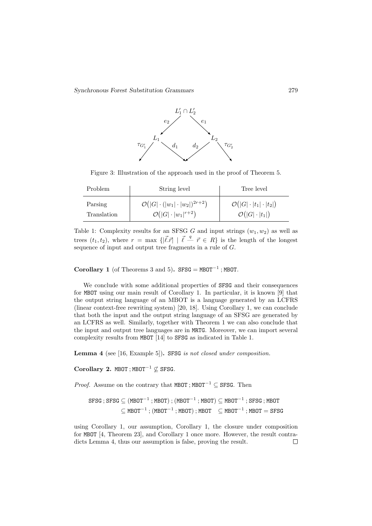

Figure 3: Illustration of the approach used in the proof of Theorem 5.

| <b>Problem</b> | String level                                        | Tree level                               |
|----------------|-----------------------------------------------------|------------------------------------------|
| Parsing        | $\mathcal{O}( G  \cdot ( w_1  \cdot  w_2 )^{2r+2})$ | $\mathcal{O}( G \cdot  t_1 \cdot  t_2 )$ |
| Translation    | $\mathcal{O}( G  \cdot  w_1 ^{r+2})$                | $\mathcal{O}( G \cdot  t_1 )$            |

Table 1: Complexity results for an SFSG G and input strings  $(w_1, w_2)$  as well as trees  $(t_1, t_2)$ , where  $r = \max \{|\vec{l} \cdot \vec{r}| \mid \vec{l} - \vec{r} \in R\}$  is the length of the longest sequence of input and output tree fragments in a rule of G.

Corollary 1 (of Theorems 3 and 5). SFSG = MBOT<sup>-1</sup>; MBOT.

We conclude with some additional properties of SFSG and their consequences for MBOT using our main result of Corollary 1. In particular, it is known [9] that the output string language of an MBOT is a language generated by an LCFRS (linear context-free rewriting system) [20, 18]. Using Corollary 1, we can conclude that both the input and the output string language of an SFSG are generated by an LCFRS as well. Similarly, together with Theorem 1 we can also conclude that the input and output tree languages are in MRTG. Moreover, we can import several complexity results from MBOT [14] to SFSG as indicated in Table 1.

Lemma 4 (see [16, Example 5]). SFSG is not closed under composition.

Corollary 2. MBOT: MBOT<sup>-1</sup>  $\emptyset$  SFSG.

*Proof.* Assume on the contrary that MBOT; MBOT<sup>-1</sup> ⊆ SFSG. Then

$$
\begin{aligned} \text{SFSG} \; ; \; \text{SFSG} \subseteq (\text{MBOT}^{-1} \; ; \text{MBOT}) \; ; \; (\text{MBOT}^{-1} \; ; \text{MBOT}) \subseteq \text{MBOT}^{-1} \; ; \, \text{SFSG} \; ; \text{MBOT} \\ & \subseteq \text{MBOT}^{-1} \; ; \; (\text{MBOT}^{-1} \; ; \text{MBOT}) \; ; \, \text{MBOT} \quad \subseteq \text{MBOT}^{-1} \; ; \text{MBOT} = \text{SFSG} \end{aligned}
$$

using Corollary 1, our assumption, Corollary 1, the closure under composition for MBOT [4, Theorem 23], and Corollary 1 once more. However, the result contradicts Lemma 4, thus our assumption is false, proving the result. $\Box$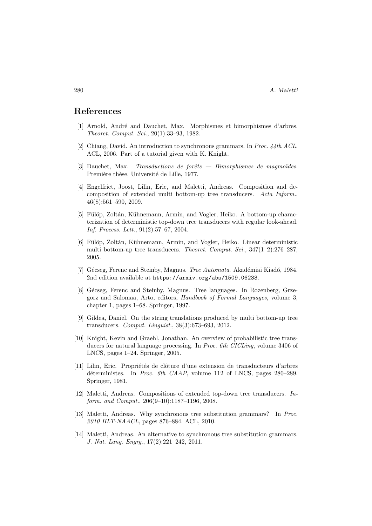#### References

- [1] Arnold, Andr´e and Dauchet, Max. Morphismes et bimorphismes d'arbres. Theoret. Comput. Sci., 20(1):33–93, 1982.
- [2] Chiang, David. An introduction to synchronous grammars. In Proc. 44th ACL. ACL, 2006. Part of a tutorial given with K. Knight.
- $[3]$  Dauchet, Max. Transductions de forêts Bimorphismes de magmoüdes. Première thèse, Université de Lille, 1977.
- [4] Engelfriet, Joost, Lilin, Eric, and Maletti, Andreas. Composition and decomposition of extended multi bottom-up tree transducers. Acta Inform., 46(8):561–590, 2009.
- [5] Fülöp, Zoltán, Kühnemann, Armin, and Vogler, Heiko. A bottom-up characterization of deterministic top-down tree transducers with regular look-ahead. Inf. Process. Lett., 91(2):57–67, 2004.
- [6] Fülöp, Zoltán, Kühnemann, Armin, and Vogler, Heiko. Linear deterministic multi bottom-up tree transducers. Theoret. Comput. Sci., 347(1–2):276–287, 2005.
- [7] Gécseg, Ferenc and Steinby, Magnus. Tree Automata. Akadémiai Kiadó, 1984. 2nd edition available at https://arxiv.org/abs/1509.06233.
- [8] Gécseg, Ferenc and Steinby, Magnus. Tree languages. In Rozenberg, Grzegorz and Salomaa, Arto, editors, Handbook of Formal Languages, volume 3, chapter 1, pages 1–68. Springer, 1997.
- [9] Gildea, Daniel. On the string translations produced by multi bottom-up tree transducers. Comput. Linguist., 38(3):673–693, 2012.
- [10] Knight, Kevin and Graehl, Jonathan. An overview of probabilistic tree transducers for natural language processing. In *Proc. 6th CICLing*, volume 3406 of LNCS, pages 1–24. Springer, 2005.
- [11] Lilin, Eric. Propriétés de clôture d'une extension de transducteurs d'arbres déterministes. In Proc. 6th CAAP, volume 112 of LNCS, pages  $280-289$ . Springer, 1981.
- [12] Maletti, Andreas. Compositions of extended top-down tree transducers. Inform. and Comput., 206(9–10):1187–1196, 2008.
- [13] Maletti, Andreas. Why synchronous tree substitution grammars? In Proc. 2010 HLT-NAACL, pages 876–884. ACL, 2010.
- [14] Maletti, Andreas. An alternative to synchronous tree substitution grammars. J. Nat. Lang. Engrg., 17(2):221–242, 2011.